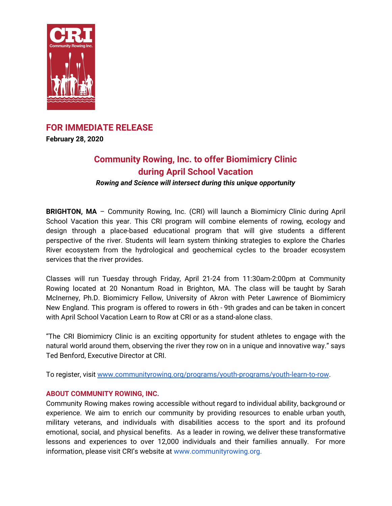

## **FOR IMMEDIATE RELEASE**

**February 28, 2020**

# **Community Rowing, Inc. to offer Biomimicry Clinic during April School Vacation**

*Rowing and Science will intersect during this unique opportunity*

**BRIGHTON, MA** – Community Rowing, Inc. (CRI) will launch a Biomimicry Clinic during April School Vacation this year. This CRI program will combine elements of rowing, ecology and design through a place-based educational program that will give students a different perspective of the river. Students will learn system thinking strategies to explore the Charles River ecosystem from the hydrological and geochemical cycles to the broader ecosystem services that the river provides.

Classes will run Tuesday through Friday, April 21-24 from 11:30am-2:00pm at Community Rowing located at 20 Nonantum Road in Brighton, MA. The class will be taught by Sarah McInerney, Ph.D. Biomimicry Fellow, University of Akron with Peter Lawrence of Biomimicry New England. This program is offered to rowers in 6th - 9th grades and can be taken in concert with April School Vacation Learn to Row at CRI or as a stand-alone class.

"The CRI Biomimicry Clinic is an exciting opportunity for student athletes to engage with the natural world around them, observing the river they row on in a unique and innovative way." says Ted Benford, Executive Director at CRI.

To register, visit [www.communityrowing.org/programs/youth-programs/youth-learn-to-row](http://www.communityrowing.org/programs/youth-programs/youth-learn-to-row).

## **ABOUT COMMUNITY ROWING, INC.**

Community Rowing makes rowing accessible without regard to individual ability, background or experience. We aim to enrich our community by providing resources to enable urban youth, military veterans, and individuals with disabilities access to the sport and its profound emotional, social, and physical benefits. As a leader in rowing, we deliver these transformative lessons and experiences to over 12,000 individuals and their families annually. For more information, please visit CRI's website at [www.communityrowing.org](http://www.communityrowing.org/).